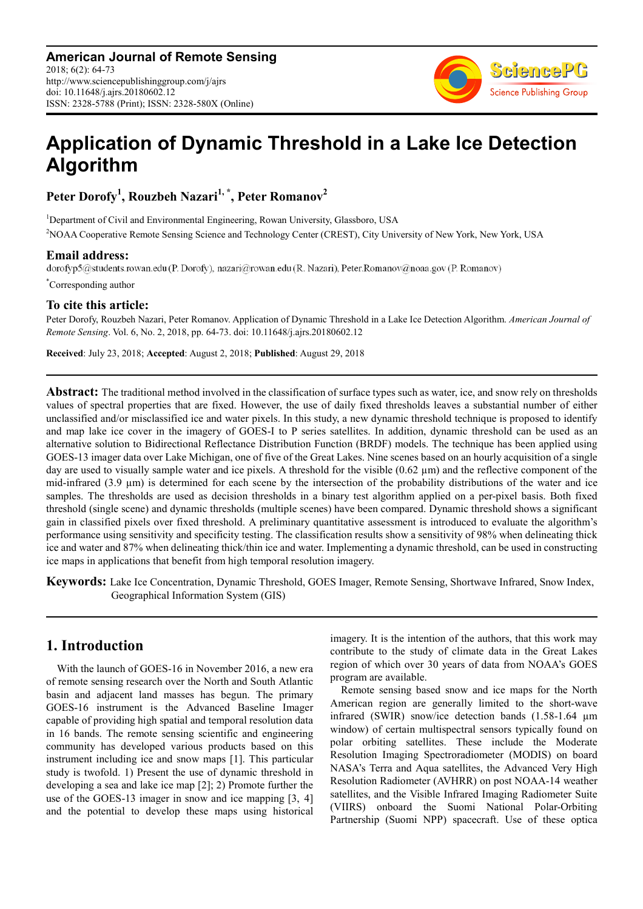

# **Application of Dynamic Threshold in a Lake Ice Detection Algorithm**

**Peter Dorofy<sup>1</sup> , Rouzbeh Nazari1, \*, Peter Romanov<sup>2</sup>**

<sup>1</sup>Department of Civil and Environmental Engineering, Rowan University, Glassboro, USA <sup>2</sup>NOAA Cooperative Remote Sensing Science and Technology Center (CREST), City University of New York, New York, USA

**Email address:**<br>dorofyp5@students.rowan.edu (P. Dorofy), nazari@rowan.edu (R. Nazari), Peter.Romanov@noaa.gov (P. Romanov)

\*Corresponding author

# **To cite this article:**

Peter Dorofy, Rouzbeh Nazari, Peter Romanov. Application of Dynamic Threshold in a Lake Ice Detection Algorithm. *American Journal of Remote Sensing*. Vol. 6, No. 2, 2018, pp. 64-73. doi: 10.11648/j.ajrs.20180602.12

**Received**: July 23, 2018; **Accepted**: August 2, 2018; **Published**: August 29, 2018

**Abstract:** The traditional method involved in the classification of surface types such as water, ice, and snow rely on thresholds values of spectral properties that are fixed. However, the use of daily fixed thresholds leaves a substantial number of either unclassified and/or misclassified ice and water pixels. In this study, a new dynamic threshold technique is proposed to identify and map lake ice cover in the imagery of GOES-I to P series satellites. In addition, dynamic threshold can be used as an alternative solution to Bidirectional Reflectance Distribution Function (BRDF) models. The technique has been applied using GOES-13 imager data over Lake Michigan, one of five of the Great Lakes. Nine scenes based on an hourly acquisition of a single day are used to visually sample water and ice pixels. A threshold for the visible  $(0.62 \mu m)$  and the reflective component of the mid-infrared  $(3.9 \mu m)$  is determined for each scene by the intersection of the probability distributions of the water and ice samples. The thresholds are used as decision thresholds in a binary test algorithm applied on a per-pixel basis. Both fixed threshold (single scene) and dynamic thresholds (multiple scenes) have been compared. Dynamic threshold shows a significant gain in classified pixels over fixed threshold. A preliminary quantitative assessment is introduced to evaluate the algorithm's performance using sensitivity and specificity testing. The classification results show a sensitivity of 98% when delineating thick ice and water and 87% when delineating thick/thin ice and water. Implementing a dynamic threshold, can be used in constructing ice maps in applications that benefit from high temporal resolution imagery.

**Keywords:** Lake Ice Concentration, Dynamic Threshold, GOES Imager, Remote Sensing, Shortwave Infrared, Snow Index, Geographical Information System (GIS)

# **1. Introduction**

With the launch of GOES-16 in November 2016, a new era of remote sensing research over the North and South Atlantic basin and adjacent land masses has begun. The primary GOES-16 instrument is the Advanced Baseline Imager capable of providing high spatial and temporal resolution data in 16 bands. The remote sensing scientific and engineering community has developed various products based on this instrument including ice and snow maps [1]. This particular study is twofold. 1) Present the use of dynamic threshold in developing a sea and lake ice map [2]; 2) Promote further the use of the GOES-13 imager in snow and ice mapping [3, 4] and the potential to develop these maps using historical imagery. It is the intention of the authors, that this work may contribute to the study of climate data in the Great Lakes region of which over 30 years of data from NOAA's GOES program are available.

Remote sensing based snow and ice maps for the North American region are generally limited to the short-wave infrared (SWIR) snow/ice detection bands (1.58-1.64 µm window) of certain multispectral sensors typically found on polar orbiting satellites. These include the Moderate Resolution Imaging Spectroradiometer (MODIS) on board NASA's Terra and Aqua satellites, the Advanced Very High Resolution Radiometer (AVHRR) on post NOAA-14 weather satellites, and the Visible Infrared Imaging Radiometer Suite (VIIRS) onboard the Suomi National Polar-Orbiting Partnership (Suomi NPP) spacecraft. Use of these optica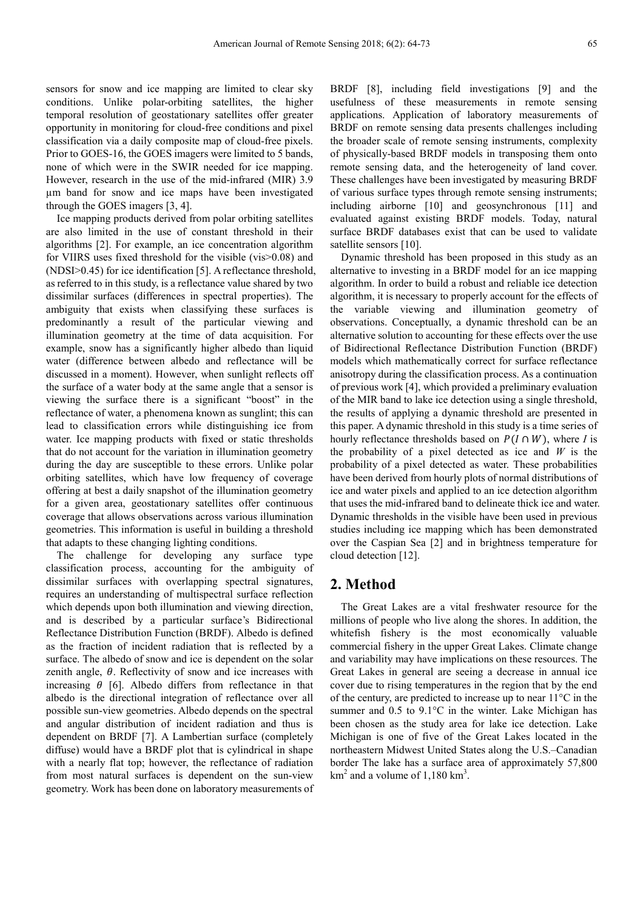sensors for snow and ice mapping are limited to clear sky conditions. Unlike polar-orbiting satellites, the higher temporal resolution of geostationary satellites offer greater opportunity in monitoring for cloud-free conditions and pixel classification via a daily composite map of cloud-free pixels. Prior to GOES-16, the GOES imagers were limited to 5 bands, none of which were in the SWIR needed for ice mapping. However, research in the use of the mid-infrared (MIR) 3.9 µm band for snow and ice maps have been investigated through the GOES imagers [3, 4].

Ice mapping products derived from polar orbiting satellites are also limited in the use of constant threshold in their algorithms [2]. For example, an ice concentration algorithm for VIIRS uses fixed threshold for the visible (vis>0.08) and (NDSI>0.45) for ice identification [5]. A reflectance threshold, as referred to in this study, is a reflectance value shared by two dissimilar surfaces (differences in spectral properties). The ambiguity that exists when classifying these surfaces is predominantly a result of the particular viewing and illumination geometry at the time of data acquisition. For example, snow has a significantly higher albedo than liquid water (difference between albedo and reflectance will be discussed in a moment). However, when sunlight reflects off the surface of a water body at the same angle that a sensor is viewing the surface there is a significant "boost" in the reflectance of water, a phenomena known as sunglint; this can lead to classification errors while distinguishing ice from water. Ice mapping products with fixed or static thresholds that do not account for the variation in illumination geometry during the day are susceptible to these errors. Unlike polar orbiting satellites, which have low frequency of coverage offering at best a daily snapshot of the illumination geometry for a given area, geostationary satellites offer continuous coverage that allows observations across various illumination geometries. This information is useful in building a threshold that adapts to these changing lighting conditions.

The challenge for developing any surface type classification process, accounting for the ambiguity of dissimilar surfaces with overlapping spectral signatures, requires an understanding of multispectral surface reflection which depends upon both illumination and viewing direction, and is described by a particular surface's Bidirectional Reflectance Distribution Function (BRDF). Albedo is defined as the fraction of incident radiation that is reflected by a surface. The albedo of snow and ice is dependent on the solar zenith angle,  $\theta$ . Reflectivity of snow and ice increases with increasing  $\theta$  [6]. Albedo differs from reflectance in that albedo is the directional integration of reflectance over all possible sun-view geometries. Albedo depends on the spectral and angular distribution of incident radiation and thus is dependent on BRDF [7]. A Lambertian surface (completely diffuse) would have a BRDF plot that is cylindrical in shape with a nearly flat top; however, the reflectance of radiation from most natural surfaces is dependent on the sun-view geometry. Work has been done on laboratory measurements of BRDF [8], including field investigations [9] and the usefulness of these measurements in remote sensing applications. Application of laboratory measurements of BRDF on remote sensing data presents challenges including the broader scale of remote sensing instruments, complexity of physically-based BRDF models in transposing them onto remote sensing data, and the heterogeneity of land cover. These challenges have been investigated by measuring BRDF of various surface types through remote sensing instruments; including airborne [10] and geosynchronous [11] and evaluated against existing BRDF models. Today, natural surface BRDF databases exist that can be used to validate satellite sensors [10].

Dynamic threshold has been proposed in this study as an alternative to investing in a BRDF model for an ice mapping algorithm. In order to build a robust and reliable ice detection algorithm, it is necessary to properly account for the effects of the variable viewing and illumination geometry of observations. Conceptually, a dynamic threshold can be an alternative solution to accounting for these effects over the use of Bidirectional Reflectance Distribution Function (BRDF) models which mathematically correct for surface reflectance anisotropy during the classification process. As a continuation of previous work [4], which provided a preliminary evaluation of the MIR band to lake ice detection using a single threshold, the results of applying a dynamic threshold are presented in this paper. A dynamic threshold in this study is a time series of hourly reflectance thresholds based on  $P(I \cap W)$ , where *I* is the probability of a pixel detected as ice and *W* is the probability of a pixel detected as water. These probabilities have been derived from hourly plots of normal distributions of ice and water pixels and applied to an ice detection algorithm that uses the mid-infrared band to delineate thick ice and water. Dynamic thresholds in the visible have been used in previous studies including ice mapping which has been demonstrated over the Caspian Sea [2] and in brightness temperature for cloud detection [12].

# **2. Method**

The Great Lakes are a vital freshwater resource for the millions of people who live along the shores. In addition, the whitefish fishery is the most economically valuable commercial fishery in the upper Great Lakes. Climate change and variability may have implications on these resources. The Great Lakes in general are seeing a decrease in annual ice cover due to rising temperatures in the region that by the end of the century, are predicted to increase up to near 11°C in the summer and 0.5 to 9.1 °C in the winter. Lake Michigan has been chosen as the study area for lake ice detection. Lake Michigan is one of five of the Great Lakes located in the northeastern Midwest United States along the U.S.–Canadian border The lake has a surface area of approximately 57,800  $km<sup>2</sup>$  and a volume of 1,180  $km<sup>3</sup>$ .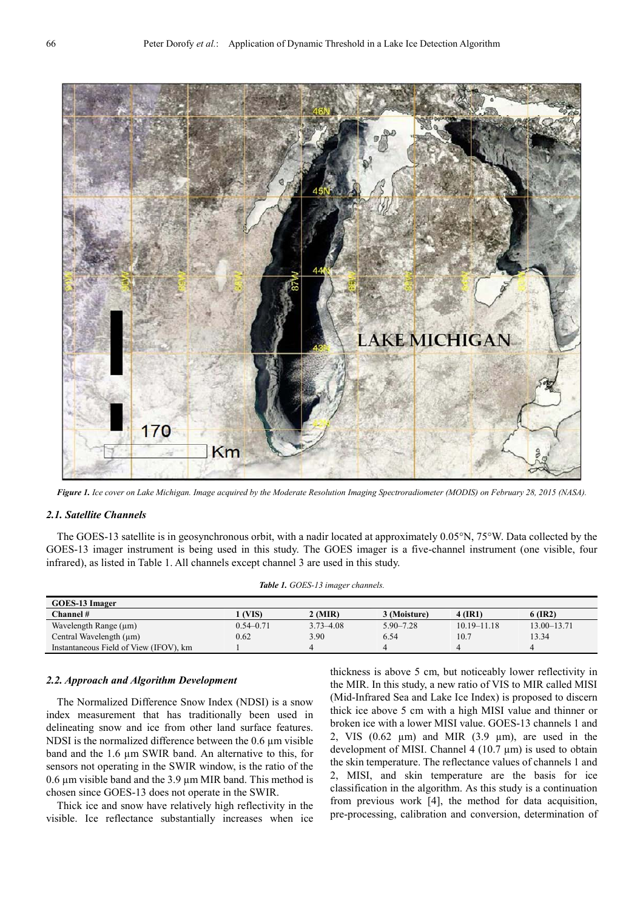

*Figure 1. Ice cover on Lake Michigan. Image acquired by the Moderate Resolution Imaging Spectroradiometer (MODIS) on February 28, 2015 (NASA).* 

#### *2.1. Satellite Channels*

The GOES-13 satellite is in geosynchronous orbit, with a nadir located at approximately 0.05°N, 75°W. Data collected by the GOES-13 imager instrument is being used in this study. The GOES imager is a five-channel instrument (one visible, four infrared), as listed in Table 1. All channels except channel 3 are used in this study.

*Table 1. GOES-13 imager channels.* 

| <b>GOES-13 Imager</b>                  |               |               |               |                 |                 |  |  |
|----------------------------------------|---------------|---------------|---------------|-----------------|-----------------|--|--|
| Channel #                              | (VIS)         | 2 (MIR)       | 3 (Moisture)  | 4 (IR1)         | $6$ (IR2)       |  |  |
| Wavelength Range $(\mu m)$             | $0.54 - 0.71$ | $3.73 - 4.08$ | $5.90 - 7.28$ | $10.19 - 11.18$ | $13.00 - 13.71$ |  |  |
| Central Wavelength $(\mu m)$           | 0.62          | 3.90          | 6.54          | 10.7            | 13.34           |  |  |
| Instantaneous Field of View (IFOV), km |               |               |               |                 | 4               |  |  |

### *2.2. Approach and Algorithm Development*

The Normalized Difference Snow Index (NDSI) is a snow index measurement that has traditionally been used in delineating snow and ice from other land surface features. NDSI is the normalized difference between the  $0.6 \mu m$  visible band and the 1.6 µm SWIR band. An alternative to this, for sensors not operating in the SWIR window, is the ratio of the  $0.6 \mu$ m visible band and the 3.9  $\mu$ m MIR band. This method is chosen since GOES-13 does not operate in the SWIR.

Thick ice and snow have relatively high reflectivity in the visible. Ice reflectance substantially increases when ice thickness is above 5 cm, but noticeably lower reflectivity in the MIR. In this study, a new ratio of VIS to MIR called MISI (Mid-Infrared Sea and Lake Ice Index) is proposed to discern thick ice above 5 cm with a high MISI value and thinner or broken ice with a lower MISI value. GOES-13 channels 1 and 2, VIS  $(0.62 \mu m)$  and MIR  $(3.9 \mu m)$ , are used in the development of MISI. Channel 4 (10.7 µm) is used to obtain the skin temperature. The reflectance values of channels 1 and 2, MISI, and skin temperature are the basis for ice classification in the algorithm. As this study is a continuation from previous work [4], the method for data acquisition, pre-processing, calibration and conversion, determination of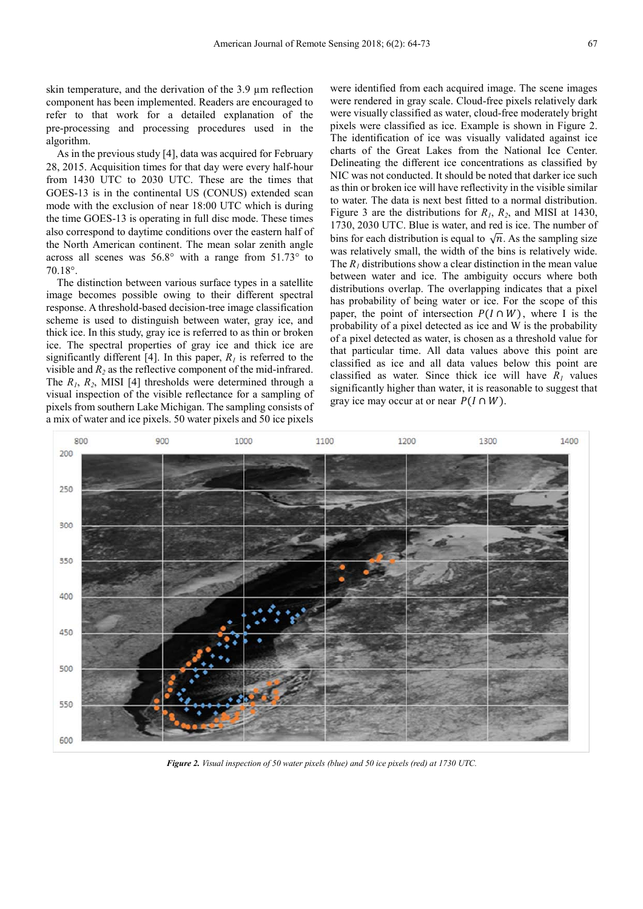skin temperature, and the derivation of the 3.9 µm reflection component has been implemented. Readers are encouraged to refer to that work for a detailed explanation of the pre-processing and processing procedures used in the algorithm.

As in the previous study [4], data was acquired for February 28, 2015. Acquisition times for that day were every half-hour from 1430 UTC to 2030 UTC. These are the times that GOES-13 is in the continental US (CONUS) extended scan mode with the exclusion of near 18:00 UTC which is during the time GOES-13 is operating in full disc mode. These times also correspond to daytime conditions over the eastern half of the North American continent. The mean solar zenith angle across all scenes was 56.8° with a range from 51.73° to 70.18°.

The distinction between various surface types in a satellite image becomes possible owing to their different spectral response. A threshold-based decision-tree image classification scheme is used to distinguish between water, gray ice, and thick ice. In this study, gray ice is referred to as thin or broken ice. The spectral properties of gray ice and thick ice are significantly different [4]. In this paper,  $R_I$  is referred to the visible and  $R_2$  as the reflective component of the mid-infrared. The *R1*, *R2*, MISI [4] thresholds were determined through a visual inspection of the visible reflectance for a sampling of pixels from southern Lake Michigan. The sampling consists of a mix of water and ice pixels. 50 water pixels and 50 ice pixels

were identified from each acquired image. The scene images were rendered in gray scale. Cloud-free pixels relatively dark were visually classified as water, cloud-free moderately bright pixels were classified as ice. Example is shown in Figure 2. The identification of ice was visually validated against ice charts of the Great Lakes from the National Ice Center. Delineating the different ice concentrations as classified by NIC was not conducted. It should be noted that darker ice such as thin or broken ice will have reflectivity in the visible similar to water. The data is next best fitted to a normal distribution. Figure 3 are the distributions for *R1*, *R2*, and MISI at 1430, 1730, 2030 UTC. Blue is water, and red is ice. The number of bins for each distribution is equal to  $\sqrt{n}$ . As the sampling size was relatively small, the width of the bins is relatively wide. The  $R<sub>1</sub>$  distributions show a clear distinction in the mean value between water and ice. The ambiguity occurs where both distributions overlap. The overlapping indicates that a pixel has probability of being water or ice. For the scope of this paper, the point of intersection  $P(I \cap W)$ , where I is the probability of a pixel detected as ice and W is the probability of a pixel detected as water, is chosen as a threshold value for that particular time. All data values above this point are classified as ice and all data values below this point are classified as water. Since thick ice will have  $R_1$  values significantly higher than water, it is reasonable to suggest that gray ice may occur at or near  $P(I \cap W)$ .



*Figure 2. Visual inspection of 50 water pixels (blue) and 50 ice pixels (red) at 1730 UTC.*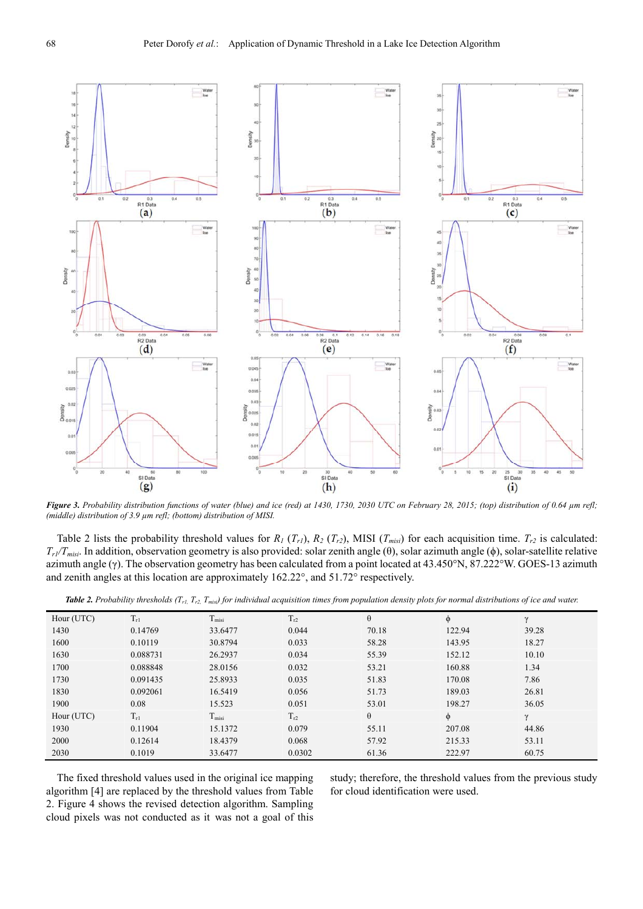

*Figure 3. Probability distribution functions of water (blue) and ice (red) at 1430, 1730, 2030 UTC on February 28, 2015; (top) distribution of 0.64 µm refl; (middle) distribution of 3.9 µm refl; (bottom) distribution of MISI.* 

Table 2 lists the probability threshold values for  $R_1(T_{rl})$ ,  $R_2(T_{rl})$ , MISI  $(T_{misi})$  for each acquisition time.  $T_{r2}$  is calculated:  $T_{rl}/T_{misi}$ . In addition, observation geometry is also provided: solar zenith angle ( $\theta$ ), solar azimuth angle ( $\phi$ ), solar-satellite relative azimuth angle (γ). The observation geometry has been calculated from a point located at 43.450°N, 87.222°W. GOES-13 azimuth and zenith angles at this location are approximately 162.22°, and 51.72° respectively.

|  |  |  |  |  |  |  |  | <b>Table 2.</b> Probability thresholds $(T_{r1}$ , $T_{r2}$ , $T_{mis}$ for individual acquisition times from population density plots for normal distributions of ice and water. |  |
|--|--|--|--|--|--|--|--|-----------------------------------------------------------------------------------------------------------------------------------------------------------------------------------|--|
|--|--|--|--|--|--|--|--|-----------------------------------------------------------------------------------------------------------------------------------------------------------------------------------|--|

| Hour (UTC) | $T_{r1}$ | T <sub>misi</sub>  | $T_{r2}$ | $\theta$ | Φ      | $\gamma$ |
|------------|----------|--------------------|----------|----------|--------|----------|
| 1430       | 0.14769  | 33.6477            | 0.044    | 70.18    | 122.94 | 39.28    |
| 1600       | 0.10119  | 30.8794            | 0.033    | 58.28    | 143.95 | 18.27    |
| 1630       | 0.088731 | 26.2937            | 0.034    | 55.39    | 152.12 | 10.10    |
| 1700       | 0.088848 | 28.0156            | 0.032    | 53.21    | 160.88 | 1.34     |
| 1730       | 0.091435 | 25.8933            | 0.035    | 51.83    | 170.08 | 7.86     |
| 1830       | 0.092061 | 16.5419            | 0.056    | 51.73    | 189.03 | 26.81    |
| 1900       | 0.08     | 15.523             | 0.051    | 53.01    | 198.27 | 36.05    |
| Hour (UTC) | $T_{r1}$ | T <sub>missi</sub> | $T_{r2}$ | $\theta$ | $\phi$ | $\gamma$ |
| 1930       | 0.11904  | 15.1372            | 0.079    | 55.11    | 207.08 | 44.86    |
| 2000       | 0.12614  | 18.4379            | 0.068    | 57.92    | 215.33 | 53.11    |
| 2030       | 0.1019   | 33.6477            | 0.0302   | 61.36    | 222.97 | 60.75    |

The fixed threshold values used in the original ice mapping algorithm [4] are replaced by the threshold values from Table 2. Figure 4 shows the revised detection algorithm. Sampling cloud pixels was not conducted as it was not a goal of this study; therefore, the threshold values from the previous study for cloud identification were used.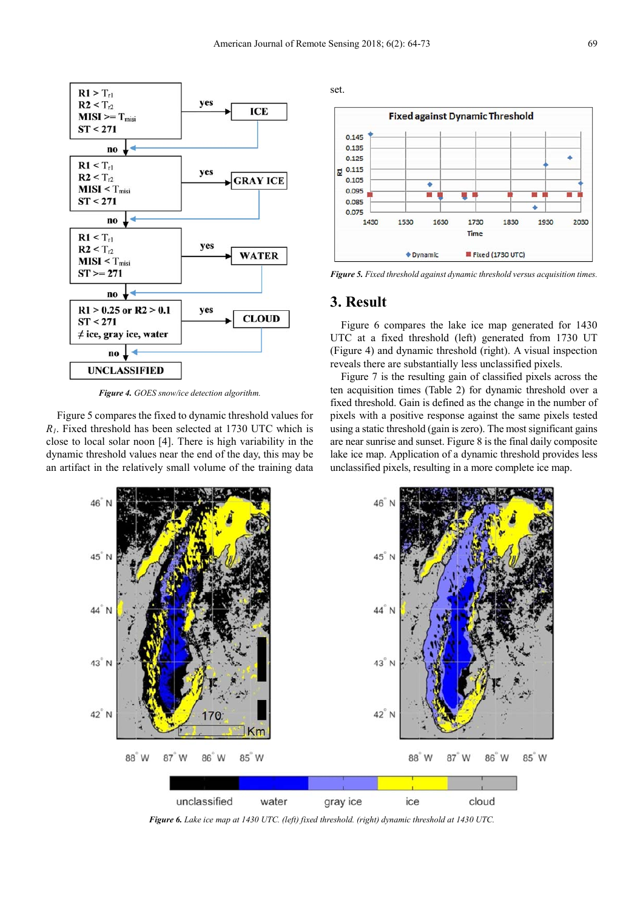

*Figure 4. GOES snow/ice detection algorithm.* 

Figure 5 compares the fixed to dynamic threshold values for *R1*. Fixed threshold has been selected at 1730 UTC which is close to local solar noon [4]. There is high variability in the dynamic threshold values near the end of the day, this may be an artifact in the relatively small volume of the training data





*Figure 5. Fixed threshold against dynamic threshold versus acquisition times.* 

# **3. Result**

Figure 6 compares the lake ice map generated for 1430 UTC at a fixed threshold (left) generated from 1730 UT (Figure 4) and dynamic threshold (right). A visual inspection reveals there are substantially less unclassified pixels.

Figure 7 is the resulting gain of classified pixels across the ten acquisition times (Table 2) for dynamic threshold over a fixed threshold. Gain is defined as the change in the number of pixels with a positive response against the same pixels tested using a static threshold (gain is zero). The most significant gains are near sunrise and sunset. Figure 8 is the final daily composite lake ice map. Application of a dynamic threshold provides less unclassified pixels, resulting in a more complete ice map.



*Figure 6. Lake ice map at 1430 UTC. (left) fixed threshold. (right) dynamic threshold at 1430 UTC.*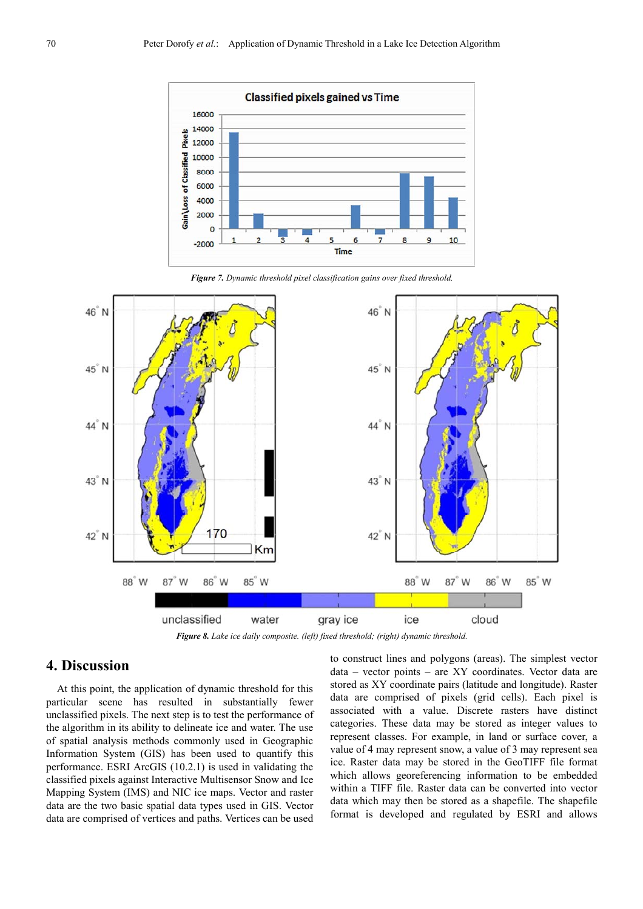

*Figure 7. Dynamic threshold pixel classification gains over fixed threshold.* 





# **4. Discussion**

At this point, the application of dynamic threshold for this particular scene has resulted in substantially fewer unclassified pixels. The next step is to test the performance of the algorithm in its ability to delineate ice and water. The use of spatial analysis methods commonly used in Geographic Information System (GIS) has been used to quantify this performance. ESRI ArcGIS (10.2.1) is used in validating the classified pixels against Interactive Multisensor Snow and Ice Mapping System (IMS) and NIC ice maps. Vector and raster data are the two basic spatial data types used in GIS. Vector data are comprised of vertices and paths. Vertices can be used

to construct lines and polygons (areas). The simplest vector data – vector points – are XY coordinates. Vector data are stored as XY coordinate pairs (latitude and longitude). Raster data are comprised of pixels (grid cells). Each pixel is associated with a value. Discrete rasters have distinct categories. These data may be stored as integer values to represent classes. For example, in land or surface cover, a value of 4 may represent snow, a value of 3 may represent sea ice. Raster data may be stored in the GeoTIFF file format which allows georeferencing information to be embedded within a TIFF file. Raster data can be converted into vector data which may then be stored as a shapefile. The shapefile format is developed and regulated by ESRI and allows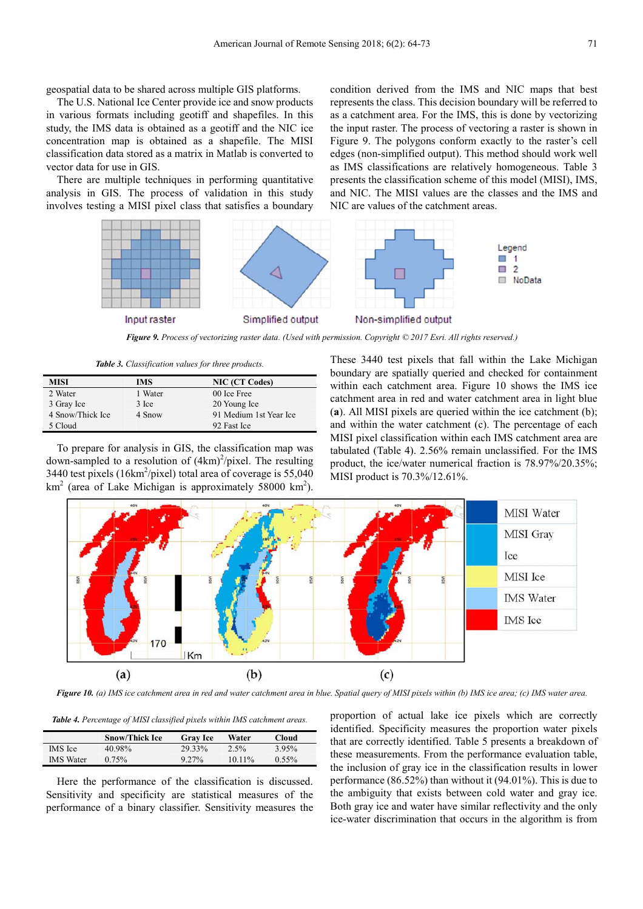geospatial data to be shared across multiple GIS platforms.

The U.S. National Ice Center provide ice and snow products in various formats including geotiff and shapefiles. In this study, the IMS data is obtained as a geotiff and the NIC ice concentration map is obtained as a shapefile. The MISI classification data stored as a matrix in Matlab is converted to vector data for use in GIS.

There are multiple techniques in performing quantitative analysis in GIS. The process of validation in this study involves testing a MISI pixel class that satisfies a boundary condition derived from the IMS and NIC maps that best represents the class. This decision boundary will be referred to as a catchment area. For the IMS, this is done by vectorizing the input raster. The process of vectoring a raster is shown in Figure 9. The polygons conform exactly to the raster's cell edges (non-simplified output). This method should work well as IMS classifications are relatively homogeneous. Table 3 presents the classification scheme of this model (MISI), IMS, and NIC. The MISI values are the classes and the IMS and NIC are values of the catchment areas.



*Figure 9. Process of vectorizing raster data. (Used with permission. Copyright © 2017 Esri. All rights reserved.)* 

*Table 3. Classification values for three products.* 

| MISI             | IMS     | <b>NIC (CT Codes)</b>  |
|------------------|---------|------------------------|
| 2 Water          | 1 Water | 00 Ice Free            |
| 3 Gray Ice       | 3 Ice   | 20 Young Ice           |
| 4 Snow/Thick Ice | 4 Snow  | 91 Medium 1st Year Ice |
| 5 Cloud          |         | 92 Fast Ice            |

To prepare for analysis in GIS, the classification map was down-sampled to a resolution of  $(4km)^2$ /pixel. The resulting 3440 test pixels ( $16 \text{km}^2/\text{pixel}$ ) total area of coverage is 55,040  $km<sup>2</sup>$  (area of Lake Michigan is approximately 58000 km<sup>2</sup>). These 3440 test pixels that fall within the Lake Michigan boundary are spatially queried and checked for containment within each catchment area. Figure 10 shows the IMS ice catchment area in red and water catchment area in light blue (**a**). All MISI pixels are queried within the ice catchment (b); and within the water catchment (c). The percentage of each MISI pixel classification within each IMS catchment area are tabulated (Table 4). 2.56% remain unclassified. For the IMS product, the ice/water numerical fraction is 78.97%/20.35%; MISI product is 70.3%/12.61%.



*Figure 10. (a) IMS ice catchment area in red and water catchment area in blue. Spatial query of MISI pixels within (b) IMS ice area; (c) IMS water area.* 

*Table 4. Percentage of MISI classified pixels within IMS catchment areas.* 

|                  | Snow/Thick Ice | <b>Gray Ice</b> | Water    | Cloud             |  |
|------------------|----------------|-----------------|----------|-------------------|--|
| IMS Ice          | 40.98%         | 29.33%          | $2.5\%$  | 3.95 <sup>%</sup> |  |
| <b>IMS</b> Water | $0.75\%$       | $9.27\%$        | $1011\%$ | $0.55\%$          |  |

Here the performance of the classification is discussed. Sensitivity and specificity are statistical measures of the performance of a binary classifier. Sensitivity measures the proportion of actual lake ice pixels which are correctly identified. Specificity measures the proportion water pixels that are correctly identified. Table 5 presents a breakdown of these measurements. From the performance evaluation table, the inclusion of gray ice in the classification results in lower performance (86.52%) than without it (94.01%). This is due to the ambiguity that exists between cold water and gray ice. Both gray ice and water have similar reflectivity and the only ice-water discrimination that occurs in the algorithm is from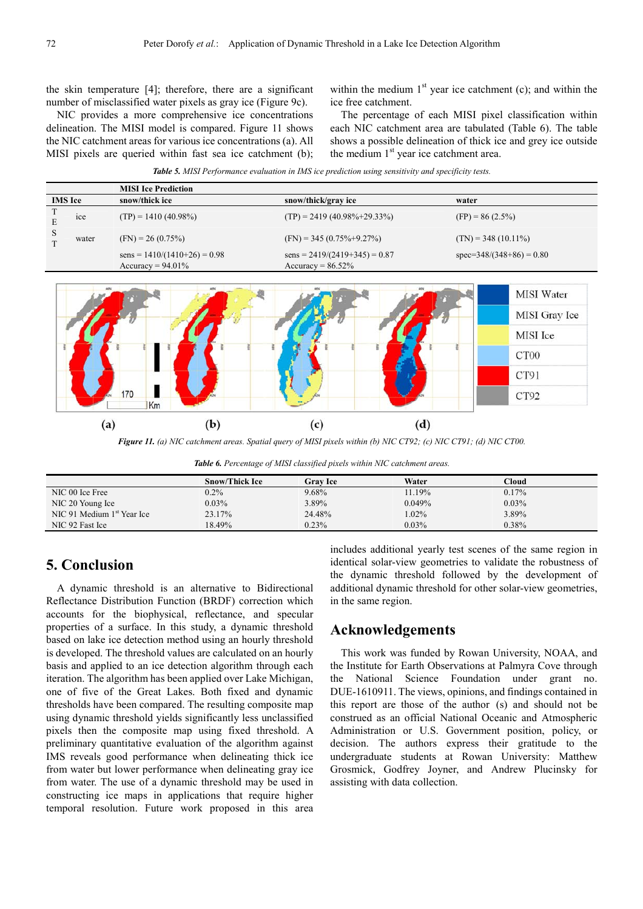the skin temperature [4]; therefore, there are a significant number of misclassified water pixels as gray ice (Figure 9c).

NIC provides a more comprehensive ice concentrations delineation. The MISI model is compared. Figure 11 shows the NIC catchment areas for various ice concentrations (a). All MISI pixels are queried within fast sea ice catchment (b); within the medium  $1<sup>st</sup>$  year ice catchment (c); and within the ice free catchment.

The percentage of each MISI pixel classification within each NIC catchment area are tabulated (Table 6). The table shows a possible delineation of thick ice and grey ice outside the medium  $1<sup>st</sup>$  year ice catchment area.

|                |       | <b>MISI</b> Ice Prediction                             |                                                         |                            |
|----------------|-------|--------------------------------------------------------|---------------------------------------------------------|----------------------------|
| <b>IMS</b> Ice |       | snow/thick ice                                         | snow/thick/gray ice                                     | water                      |
| E              | ice   | $(TP) = 1410 (40.98\%)$                                | $(TP) = 2419 (40.98\% + 29.33\%)$                       | $(FP) = 86 (2.5\%)$        |
| S              | water | $(FN) = 26 (0.75\%)$                                   | $(FN) = 345 (0.75\% + 9.27\%)$                          | $(TN) = 348 (10.11\%)$     |
|                |       | $sens = 1410/(1410+26) = 0.98$<br>Accuracy = $94.01\%$ | $sens = 2419/(2419+345) = 0.87$<br>$Accuracy = 86.52\%$ | $spec=348/(348+86) = 0.80$ |
|                |       |                                                        |                                                         |                            |

*Table 5. MISI Performance evaluation in IMS ice prediction using sensitivity and specificity tests.* 



*Figure 11. (a) NIC catchment areas. Spatial query of MISI pixels within (b) NIC CT92; (c) NIC CT91; (d) NIC CT00.* 

*Table 6. Percentage of MISI classified pixels within NIC catchment areas.* 

|                              | <b>Snow/Thick Ice</b> | <b>Grav Ice</b> | Water    | $^\circ$ loud $^\circ$ |
|------------------------------|-----------------------|-----------------|----------|------------------------|
| NIC 00 Ice Free              | $0.2\%$               | 9.68%           | 1.19%    | $0.17\%$               |
| NIC 20 Young Ice             | 0.03%                 | 3.89%           | 0.049%   | $0.03\%$               |
| NIC 91 Medium $1st$ Year Ice | 23.17%                | 24.48%          | $1.02\%$ | 3.89%                  |
| NIC 92 Fast Ice              | 18.49%                | 0.23%           | 0.03%    | 0.38%                  |

# **5. Conclusion**

A dynamic threshold is an alternative to Bidirectional Reflectance Distribution Function (BRDF) correction which accounts for the biophysical, reflectance, and specular properties of a surface. In this study, a dynamic threshold based on lake ice detection method using an hourly threshold is developed. The threshold values are calculated on an hourly basis and applied to an ice detection algorithm through each iteration. The algorithm has been applied over Lake Michigan, one of five of the Great Lakes. Both fixed and dynamic thresholds have been compared. The resulting composite map using dynamic threshold yields significantly less unclassified pixels then the composite map using fixed threshold. A preliminary quantitative evaluation of the algorithm against IMS reveals good performance when delineating thick ice from water but lower performance when delineating gray ice from water. The use of a dynamic threshold may be used in constructing ice maps in applications that require higher temporal resolution. Future work proposed in this area includes additional yearly test scenes of the same region in identical solar-view geometries to validate the robustness of the dynamic threshold followed by the development of additional dynamic threshold for other solar-view geometries, in the same region.

# **Acknowledgements**

This work was funded by Rowan University, NOAA, and the Institute for Earth Observations at Palmyra Cove through the National Science Foundation under grant no. DUE-1610911. The views, opinions, and findings contained in this report are those of the author (s) and should not be construed as an official National Oceanic and Atmospheric Administration or U.S. Government position, policy, or decision. The authors express their gratitude to the undergraduate students at Rowan University: Matthew Grosmick, Godfrey Joyner, and Andrew Plucinsky for assisting with data collection.